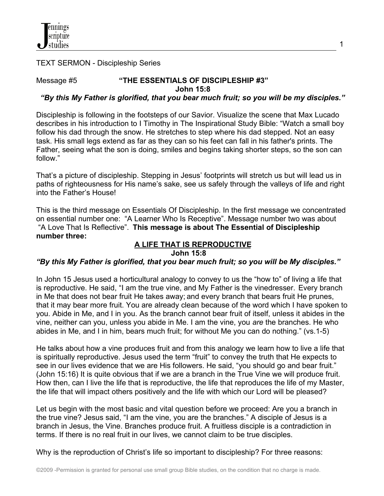TEXT SERMON - Discipleship Series

# Message #5 **"THE ESSENTIALS OF DISCIPLESHIP #3" John 15:8**

# *"By this My Father is glorified, that you bear much fruit; so you will be my disciples."*

Discipleship is following in the footsteps of our Savior. Visualize the scene that Max Lucado describes in his introduction to I Timothy in The Inspirational Study Bible: "Watch a small boy follow his dad through the snow. He stretches to step where his dad stepped. Not an easy task. His small legs extend as far as they can so his feet can fall in his father's prints. The Father, seeing what the son is doing, smiles and begins taking shorter steps, so the son can follow."

That's a picture of discipleship. Stepping in Jesus' footprints will stretch us but will lead us in paths of righteousness for His name's sake, see us safely through the valleys of life and right into the Father's House!

This is the third message on Essentials Of Discipleship. In the first message we concentrated on essential number one: "A Learner Who Is Receptive". Message number two was about "A Love That Is Reflective". **This message is about The Essential of Discipleship number three:**

# **A LIFE THAT IS REPRODUCTIVE**

#### **John 15:8**

# *"By this My Father is glorified, that you bear much fruit; so you will be My disciples."*

In John 15 Jesus used a horticultural analogy to convey to us the "how to" of living a life that is reproductive. He said, "I am the true vine, and My Father is the vinedresser. Every branch in Me that does not bear fruit He takes away; and every branch that bears fruit He prunes, that it may bear more fruit. You are already clean because of the word which I have spoken to you. Abide in Me, and I in you. As the branch cannot bear fruit of itself, unless it abides in the vine, neither can you, unless you abide in Me. I am the vine, you *are* the branches. He who abides in Me, and I in him, bears much fruit; for without Me you can do nothing." (vs.1-5)

He talks about how a vine produces fruit and from this analogy we learn how to live a life that is spiritually reproductive. Jesus used the term "fruit" to convey the truth that He expects to see in our lives evidence that we are His followers. He said, "you should go and bear fruit." (John 15:16) It is quite obvious that if we are a branch in the True Vine we will produce fruit. How then, can I live the life that is reproductive, the life that reproduces the life of my Master, the life that will impact others positively and the life with which our Lord will be pleased?

Let us begin with the most basic and vital question before we proceed: Are you a branch in the true vine? Jesus said, "I am the vine, you are the branches." A disciple of Jesus is a branch in Jesus, the Vine. Branches produce fruit. A fruitless disciple is a contradiction in terms. If there is no real fruit in our lives, we cannot claim to be true disciples.

Why is the reproduction of Christ's life so important to discipleship? For three reasons: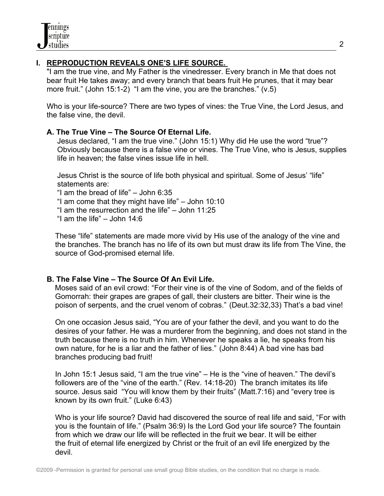## **I. REPRODUCTION REVEALS ONE'S LIFE SOURCE.**

 "I am the true vine, and My Father is the vinedresser. Every branch in Me that does not bear fruit He takes away; and every branch that bears fruit He prunes, that it may bear more fruit." (John 15:1-2) "I am the vine, you are the branches." (v.5)

 Who is your life-source? There are two types of vines: the True Vine, the Lord Jesus, and the false vine, the devil.

### **A. The True Vine – The Source Of Eternal Life.**

 Jesus declared, "I am the true vine." (John 15:1) Why did He use the word "true"? Obviously because there is a false vine or vines. The True Vine, who is Jesus, supplies life in heaven; the false vines issue life in hell.

 Jesus Christ is the source of life both physical and spiritual. Some of Jesus' "life" statements are:

"I am the bread of life" – John 6:35

"I am come that they might have life" – John 10:10

"I am the resurrection and the life" – John 11:25

"I am the life" – John 14:6

 These "life" statements are made more vivid by His use of the analogy of the vine and the branches. The branch has no life of its own but must draw its life from The Vine, the source of God-promised eternal life.

### **B. The False Vine – The Source Of An Evil Life.**

Moses said of an evil crowd: "For their vine is of the vine of Sodom, and of the fields of Gomorrah: their grapes are grapes of gall, their clusters are bitter. Their wine is the poison of serpents, and the cruel venom of cobras." (Deut.32:32,33) That's a bad vine!

 On one occasion Jesus said, "You are of your father the devil, and you want to do the desires of your father. He was a murderer from the beginning, and does not stand in the truth because there is no truth in him. Whenever he speaks a lie, he speaks from his own nature, for he is a liar and the father of lies." (John 8:44) A bad vine has bad branches producing bad fruit!

 In John 15:1 Jesus said, "I am the true vine" – He is the "vine of heaven." The devil's followers are of the "vine of the earth." (Rev. 14:18-20) The branch imitates its life source. Jesus said "You will know them by their fruits" (Matt.7:16) and "every tree is known by its own fruit." (Luke 6:43)

 Who is your life source? David had discovered the source of real life and said, "For with you is the fountain of life." (Psalm 36:9) Is the Lord God your life source? The fountain from which we draw our life will be reflected in the fruit we bear. It will be either the fruit of eternal life energized by Christ or the fruit of an evil life energized by the devil.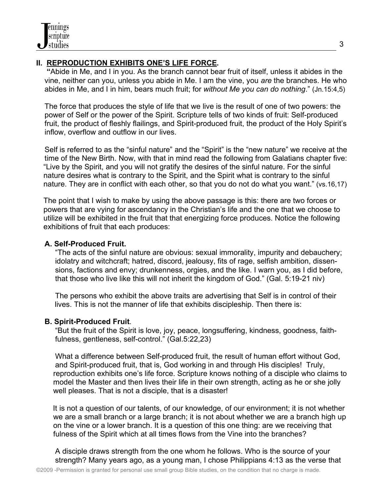# **II. REPRODUCTION EXHIBITS ONE'S LIFE FORCE.**

 **"**Abide in Me, and I in you. As the branch cannot bear fruit of itself, unless it abides in the vine, neither can you, unless you abide in Me. I am the vine, you *are* the branches. He who abides in Me, and I in him, bears much fruit; for *without Me you can do nothing*." (Jn.15:4,5)

 The force that produces the style of life that we live is the result of one of two powers: the power of Self or the power of the Spirit. Scripture tells of two kinds of fruit: Self-produced fruit, the product of fleshly flailings, and Spirit-produced fruit, the product of the Holy Spirit's inflow, overflow and outflow in our lives.

 Self is referred to as the "sinful nature" and the "Spirit" is the "new nature" we receive at the time of the New Birth. Now, with that in mind read the following from Galatians chapter five: "Live by the Spirit, and you will not gratify the desires of the sinful nature. For the sinful nature desires what is contrary to the Spirit, and the Spirit what is contrary to the sinful nature. They are in conflict with each other, so that you do not do what you want." (vs.16,17)

The point that I wish to make by using the above passage is this: there are two forces or powers that are vying for ascendancy in the Christian's life and the one that we choose to utilize will be exhibited in the fruit that that energizing force produces. Notice the following exhibitions of fruit that each produces:

## **A. Self-Produced Fruit.**

 "The acts of the sinful nature are obvious: sexual immorality, impurity and debauchery; idolatry and witchcraft; hatred, discord, jealousy, fits of rage, selfish ambition, dissen sions, factions and envy; drunkenness, orgies, and the like. I warn you, as I did before, that those who live like this will not inherit the kingdom of God." (Gal. 5:19-21 niv)

 The persons who exhibit the above traits are advertising that Self is in control of their lives. This is not the manner of life that exhibits discipleship. Then there is:

## **B. Spirit-Produced Fruit**.

 "But the fruit of the Spirit is love, joy, peace, longsuffering, kindness, goodness, faith fulness, gentleness, self-control." (Gal.5:22,23)

 What a difference between Self-produced fruit, the result of human effort without God, and Spirit-produced fruit, that is, God working in and through His disciples! Truly, reproduction exhibits one's life force. Scripture knows nothing of a disciple who claims to model the Master and then lives their life in their own strength, acting as he or she jolly well pleases. That is not a disciple, that is a disaster!

 It is not a question of our talents, of our knowledge, of our environment; it is not whether we are a small branch or a large branch; it is not about whether we are a branch high up on the vine or a lower branch. It is a question of this one thing: are we receiving that fulness of the Spirit which at all times flows from the Vine into the branches?

 A disciple draws strength from the one whom he follows. Who is the source of your strength? Many years ago, as a young man, I chose Philippians 4:13 as the verse that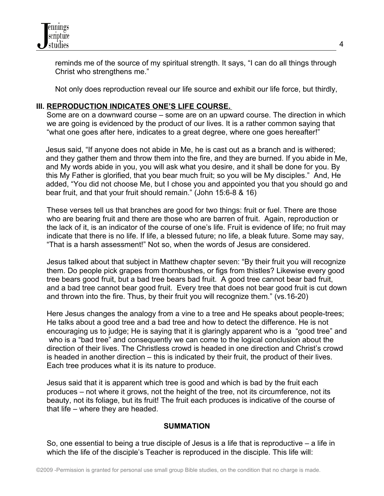

 reminds me of the source of my spiritual strength. It says, "I can do all things through Christ who strengthens me."

Not only does reproduction reveal our life source and exhibit our life force, but thirdly,

### **III. REPRODUCTION INDICATES ONE'S LIFE COURSE.**

Some are on a downward course – some are on an upward course. The direction in which we are going is evidenced by the product of our lives. It is a rather common saying that "what one goes after here, indicates to a great degree, where one goes hereafter!"

Jesus said, "If anyone does not abide in Me, he is cast out as a branch and is withered; and they gather them and throw them into the fire, and they are burned. If you abide in Me, and My words abide in you, you will ask what you desire, and it shall be done for you. By this My Father is glorified, that you bear much fruit; so you will be My disciples." And, He added, "You did not choose Me, but I chose you and appointed you that you should go and bear fruit, and that your fruit should remain." (John 15:6-8 & 16)

 These verses tell us that branches are good for two things: fruit or fuel. There are those who are bearing fruit and there are those who are barren of fruit. Again, reproduction or the lack of it, is an indicator of the course of one's life. Fruit is evidence of life; no fruit may indicate that there is no life. If life, a blessed future; no life, a bleak future. Some may say, "That is a harsh assessment!" Not so, when the words of Jesus are considered.

 Jesus talked about that subject in Matthew chapter seven: "By their fruit you will recognize them. Do people pick grapes from thornbushes, or figs from thistles? Likewise every good tree bears good fruit, but a bad tree bears bad fruit. A good tree cannot bear bad fruit, and a bad tree cannot bear good fruit. Every tree that does not bear good fruit is cut down and thrown into the fire. Thus, by their fruit you will recognize them." (vs.16-20)

 Here Jesus changes the analogy from a vine to a tree and He speaks about people-trees; He talks about a good tree and a bad tree and how to detect the difference. He is not encouraging us to judge; He is saying that it is glaringly apparent who is a "good tree" and who is a "bad tree" and consequently we can come to the logical conclusion about the direction of their lives. The Christless crowd is headed in one direction and Christ's crowd is headed in another direction – this is indicated by their fruit, the product of their lives. Each tree produces what it is its nature to produce.

 Jesus said that it is apparent which tree is good and which is bad by the fruit each produces – not where it grows, not the height of the tree, not its circumference, not its beauty, not its foliage, but its fruit! The fruit each produces is indicative of the course of that life – where they are headed.

### **SUMMATION**

 So, one essential to being a true disciple of Jesus is a life that is reproductive – a life in which the life of the disciple's Teacher is reproduced in the disciple. This life will: